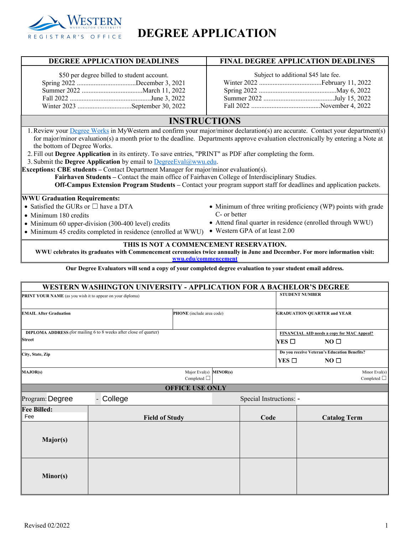

## **DEGREE APPLICATION**

| DEGREE APPLICATION DEADLINES                                                                                                                                                                                                                                                                                                                                                                                                                                                                                                                                                                                                                                                                                                                                                                              | <b>FINAL DEGREE APPLICATION DEADLINES</b>                                  |  |  |  |  |  |
|-----------------------------------------------------------------------------------------------------------------------------------------------------------------------------------------------------------------------------------------------------------------------------------------------------------------------------------------------------------------------------------------------------------------------------------------------------------------------------------------------------------------------------------------------------------------------------------------------------------------------------------------------------------------------------------------------------------------------------------------------------------------------------------------------------------|----------------------------------------------------------------------------|--|--|--|--|--|
| \$50 per degree billed to student account.<br>Winter 2023 September 30, 2022                                                                                                                                                                                                                                                                                                                                                                                                                                                                                                                                                                                                                                                                                                                              | Subject to additional \$45 late fee.                                       |  |  |  |  |  |
| <b>INSTRUCTIONS</b>                                                                                                                                                                                                                                                                                                                                                                                                                                                                                                                                                                                                                                                                                                                                                                                       |                                                                            |  |  |  |  |  |
| 1. Review your Degree Works in MyWestern and confirm your major/minor declaration(s) are accurate. Contact your department(s)<br>for major/minor evaluation(s) a month prior to the deadline. Departments approve evaluation electronically by entering a Note at<br>the bottom of Degree Works.<br>2. Fill out Degree Application in its entirety. To save entries, "PRINT" as PDF after completing the form.<br>3. Submit the Degree Application by email to DegreeEval@wwu.edu.<br><b>Exceptions: CBE students – Contact Department Manager for major/minor evaluation(s).</b><br>Fairhaven Students – Contact the main office of Fairhaven College of Interdisciplinary Studies.<br>Off-Campus Extension Program Students – Contact your program support staff for deadlines and application packets. |                                                                            |  |  |  |  |  |
| <b>WWU Graduation Requirements:</b>                                                                                                                                                                                                                                                                                                                                                                                                                                                                                                                                                                                                                                                                                                                                                                       |                                                                            |  |  |  |  |  |
| • Satisfied the GURs or $\square$ have a DTA                                                                                                                                                                                                                                                                                                                                                                                                                                                                                                                                                                                                                                                                                                                                                              | • Minimum of three writing proficiency (WP) points with grade              |  |  |  |  |  |
| • Minimum 180 credits                                                                                                                                                                                                                                                                                                                                                                                                                                                                                                                                                                                                                                                                                                                                                                                     | C- or better<br>• Attend final quarter in residence (enrolled through WWU) |  |  |  |  |  |
| • Minimum 60 upper-division (300-400 level) credits<br>• Minimum 45 credits completed in residence (enrolled at WWU)                                                                                                                                                                                                                                                                                                                                                                                                                                                                                                                                                                                                                                                                                      | • Western GPA of at least 2.00                                             |  |  |  |  |  |
| THIS IS NOT A COMMENCEMENT RESERVATION.<br>WWU celebrates its graduates with Commencement ceremonies twice annually in June and December. For more information visit:<br>wwu.edu/commencement                                                                                                                                                                                                                                                                                                                                                                                                                                                                                                                                                                                                             |                                                                            |  |  |  |  |  |
| Our Degree Evaluators will send a copy of your completed degree evaluation to your student email address.                                                                                                                                                                                                                                                                                                                                                                                                                                                                                                                                                                                                                                                                                                 |                                                                            |  |  |  |  |  |

|                                                            | <b>WESTERN WASHINGTON UNIVERSITY - APPLICATION FOR A BACHELOR'S DEGREE</b> |                                            |                         |                                              |  |
|------------------------------------------------------------|----------------------------------------------------------------------------|--------------------------------------------|-------------------------|----------------------------------------------|--|
| PRINT YOUR NAME (as you wish it to appear on your diploma) |                                                                            |                                            | <b>STUDENT NUMBER</b>   |                                              |  |
| <b>EMAIL After Graduation</b>                              | PHONE (include area code)                                                  |                                            |                         | <b>GRADUATION QUARTER and YEAR</b>           |  |
|                                                            | <b>DIPLOMA ADDRESS</b> (for mailing 6 to 8 weeks after close of quarter)   |                                            |                         | FINANCIAL AID needs a copy for MAC Appeal?   |  |
| <b>Street</b>                                              |                                                                            | YES $\Box$                                 | NO <sub>1</sub>         |                                              |  |
| City, State, Zip                                           |                                                                            |                                            |                         | Do you receive Veteran's Education Benefits? |  |
|                                                            |                                                                            |                                            | YES $\Box$              | NO <sub>0</sub>                              |  |
| <b>MAJOR(s)</b>                                            |                                                                            | Major Eval(s) MINOR(s)<br>Completed $\Box$ |                         | Minor Eval(s)<br>Completed $\Box$            |  |
|                                                            |                                                                            | <b>OFFICE USE ONLY</b>                     |                         |                                              |  |
| Program: Degree                                            | College<br>$\blacksquare$                                                  |                                            | Special Instructions: - |                                              |  |
| <b>Fee Billed:</b><br>Fee                                  | <b>Field of Study</b>                                                      |                                            | Code                    | <b>Catalog Term</b>                          |  |
| Major(s)                                                   |                                                                            |                                            |                         |                                              |  |
| Minor(s)                                                   |                                                                            |                                            |                         |                                              |  |